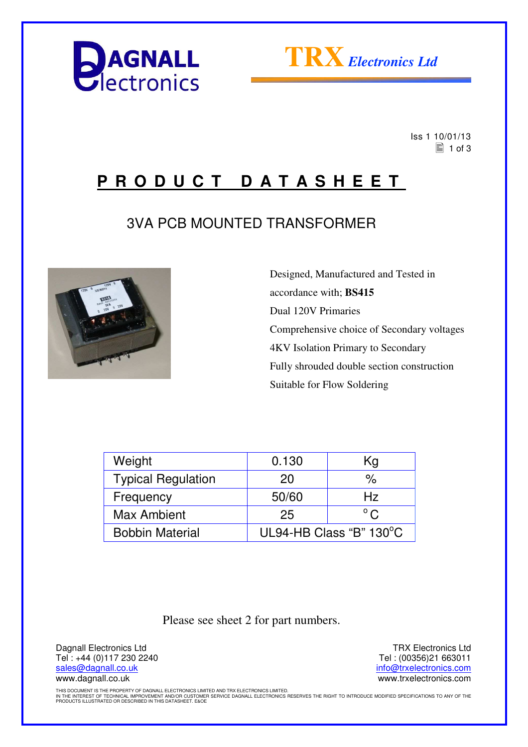



 Iss 1 10/01/13  $\equiv$  1 of 3

## **P R O D U C T D A T A S H E E T**

### 3VA PCB MOUNTED TRANSFORMER



 Designed, Manufactured and Tested in accordance with; **BS415** Dual 120V Primaries Comprehensive choice of Secondary voltages 4KV Isolation Primary to Secondary Fully shrouded double section construction Suitable for Flow Soldering

| Weight                    | 0.130                   | Kg            |  |
|---------------------------|-------------------------|---------------|--|
| <b>Typical Regulation</b> | 20                      | %             |  |
| Frequency                 | 50/60                   | Hz            |  |
| Max Ambient               | 25                      | $^{\circ}$ C. |  |
| <b>Bobbin Material</b>    | UL94-HB Class "B" 130°C |               |  |

Please see sheet 2 for part numbers.

Dagnall Electronics Ltd Tel : +44 (0)117 230 2240 sales@dagnall.co.uk www.dagnall.co.uk

TRX Electronics Ltd Tel : (00356)21 663011 info@trxelectronics.com www.trxelectronics.com

THIS DOCUMENT IS THE PROPERTY OF DAGNALL ELECTRONICS LIMITED AND TRX ELECTRONICS LIMITED.<br>IN THE INTEREST OF TECHNICAL IMPROVEMENT AND/OR CUSTOMER SERVICE DAGNALL ELECTRONICS RESERVES THE RIGHT TO INTRODUCE MODIFIED SPECIF PRODUCTS ILLUSTRATED OR DESCRIBED IN THIS DATASHEET. E&OE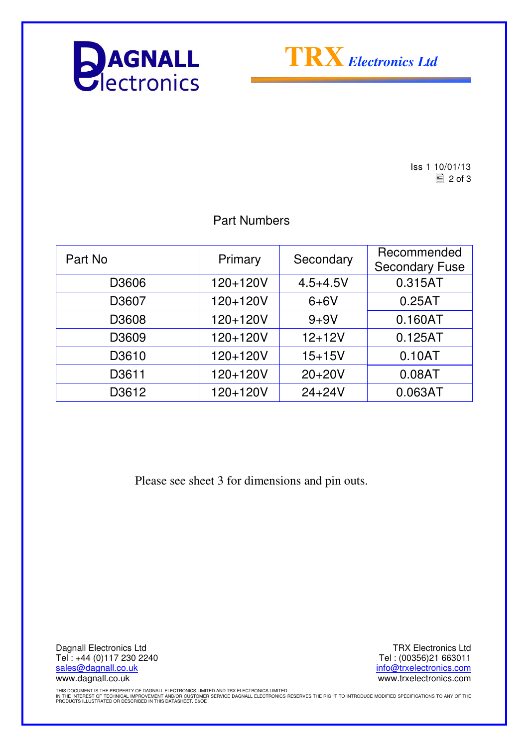



Iss 1 10/01/13  $\boxed{2}$  of 3

### Part Numbers

| Part No | Primary  | Secondary    | Recommended<br><b>Secondary Fuse</b> |
|---------|----------|--------------|--------------------------------------|
| D3606   | 120+120V | $4.5 + 4.5V$ | 0.315AT                              |
| D3607   | 120+120V | $6+6V$       | 0.25AT                               |
| D3608   | 120+120V | $9 + 9V$     | 0.160AT                              |
| D3609   | 120+120V | $12 + 12V$   | 0.125AT                              |
| D3610   | 120+120V | $15 + 15V$   | 0.10AT                               |
| D3611   | 120+120V | $20+20V$     | 0.08AT                               |
| D3612   | 120+120V | $24 + 24V$   | 0.063AT                              |

Please see sheet 3 for dimensions and pin outs.

Dagnall Electronics Ltd Tel : +44 (0)117 230 2240 sales@dagnall.co.uk www.dagnall.co.uk

TRX Electronics Ltd Tel : (00356)21 663011 info@trxelectronics.com www.trxelectronics.com

THIS DOCUMENT IS THE PROPERTY OF DAGNALL ELECTRONICS LIMITED AND TRX ELECTRONICS LIMITED.<br>IN THE INTEREST OF TECHNICAL IMPROVEMENT AND/OR CUSTOMER SERVICE DAGNALL ELECTRONICS RESERVES THE RIGHT TO INTRODUCE MODIFIED SPECIF